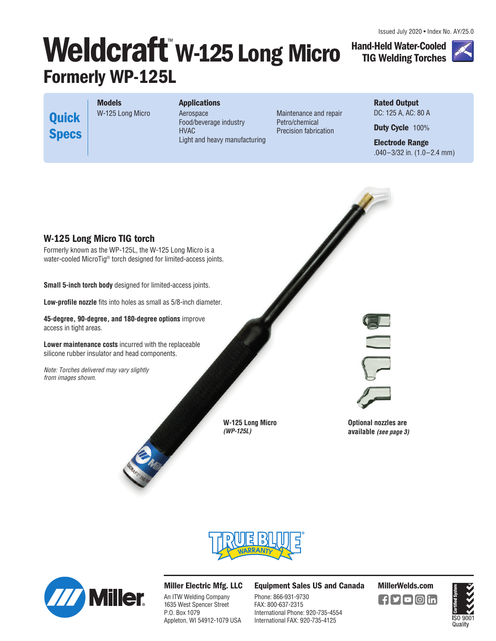Issued July 2020 • Index No. AY/25.0

# **Weldcraft W-125 Long Micro Formerly WP-125L**

**Rated Output**  DC: 125 A, AC: 80 A

**Hand-Held Water-Cooled TIG Welding Torches**

**Duty Cycle** 100%

**Electrode Range**  .040–3/32 in. (1.0–2.4 mm)

**Quick Specs**

**Models** W-125 Long Micro **Applications** Aerospace Food/beverage industry HVAC Light and heavy manufacturing

Maintenance and repair Petro/chemical Precision fabrication







## **Miller Electric Mfg. LLC**

An ITW Welding Company 1635 West Spencer Street P.O. Box 1079 Appleton, WI 54912-1079 USA **Equipment Sales US and Canada MillerWelds.com**

Phone: 866-931-9730 FAX: 800-637-2315 International Phone: 920-735-4554 International FAX: 920-735-4125

[ **f[У[О]**©]in]

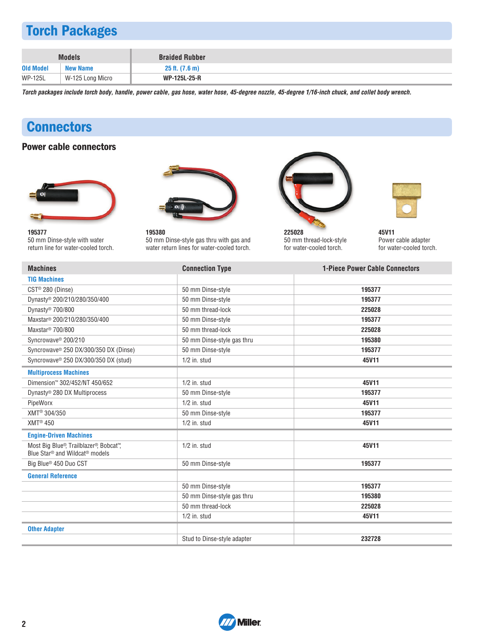# **Torch Packages**

|                  | <b>Models</b>    | <b>Braided Rubber</b>      |  |
|------------------|------------------|----------------------------|--|
| <b>Old Model</b> | <b>New Name</b>  | $25$ ft. $(7.6 \text{ m})$ |  |
| <b>WP-125L</b>   | W-125 Long Micro | <b>WP-125L-25-R</b>        |  |

**Torch packages include torch body, handle, power cable, gas hose, water hose, 45-degree nozzle, 45-degree 1/16-inch chuck, and collet body wrench.**

# **Connectors**

## **Power cable connectors**





**195377** 50 mm Dinse-style with water return line for water-cooled torch.

**195380** 50 mm Dinse-style gas thru with gas and water return lines for water-cooled torch.



**225028** 50 mm thread-lock-style for water-cooled torch.



**45V11** Power cable adapter for water-cooled torch.

| <b>Machines</b>                                                                                  | <b>Connection Type</b>      | <b>1-Piece Power Cable Connectors</b> |
|--------------------------------------------------------------------------------------------------|-----------------------------|---------------------------------------|
| <b>TIG Machines</b>                                                                              |                             |                                       |
| $\text{CST}^{\circledcirc}$ 280 (Dinse)                                                          | 50 mm Dinse-style           | 195377                                |
| Dynasty® 200/210/280/350/400                                                                     | 50 mm Dinse-style           | 195377                                |
| Dynasty <sup>®</sup> 700/800                                                                     | 50 mm thread-lock           | 225028                                |
| Maxstar <sup>®</sup> 200/210/280/350/400                                                         | 50 mm Dinse-style           | 195377                                |
| Maxstar <sup>®</sup> 700/800                                                                     | 50 mm thread-lock           | 225028                                |
| Syncrowave <sup>®</sup> 200/210                                                                  | 50 mm Dinse-style gas thru  | 195380                                |
| Syncrowave <sup>®</sup> 250 DX/300/350 DX (Dinse)                                                | 50 mm Dinse-style           | 195377                                |
| Syncrowave® 250 DX/300/350 DX (stud)                                                             | $1/2$ in. stud              | 45V11                                 |
| <b>Multiprocess Machines</b>                                                                     |                             |                                       |
| Dimension™ 302/452/NT 450/652                                                                    | $1/2$ in. stud              | 45V11                                 |
| Dynasty® 280 DX Multiprocess                                                                     | 50 mm Dinse-style           | 195377                                |
| PipeWorx                                                                                         | $1/2$ in. stud              | 45V11                                 |
| XMT <sup>®</sup> 304/350                                                                         | 50 mm Dinse-style           | 195377                                |
| <b>XMT® 450</b>                                                                                  | $1/2$ in. stud              | 45V11                                 |
| <b>Engine-Driven Machines</b>                                                                    |                             |                                       |
| Most Big Blue®, Trailblazer®, Bobcat™,<br>Blue Star <sup>®</sup> and Wildcat <sup>®</sup> models | $1/2$ in. stud              | 45V11                                 |
| Big Blue <sup>®</sup> 450 Duo CST                                                                | 50 mm Dinse-style           | 195377                                |
| <b>General Reference</b>                                                                         |                             |                                       |
|                                                                                                  | 50 mm Dinse-style           | 195377                                |
|                                                                                                  | 50 mm Dinse-style gas thru  | 195380                                |
|                                                                                                  | 50 mm thread-lock           | 225028                                |
|                                                                                                  | $1/2$ in. stud              | 45V11                                 |
| <b>Other Adapter</b>                                                                             |                             |                                       |
|                                                                                                  | Stud to Dinse-style adapter | 232728                                |

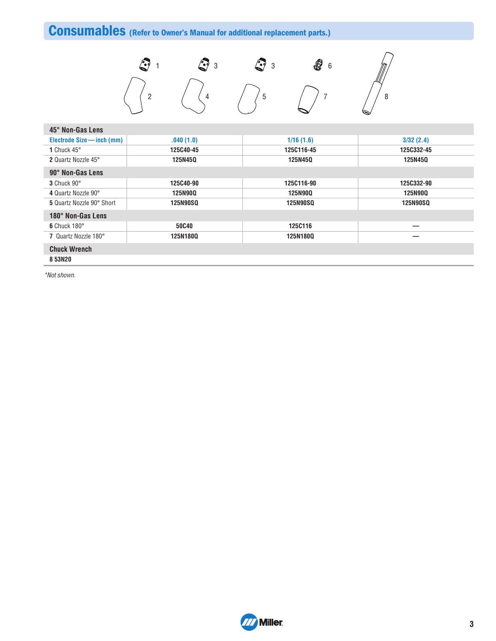# **Consumables (Refer to Owner's Manual for additional replacement parts.)**



| 45° Non-Gas Lens           |                 |                 |                 |  |
|----------------------------|-----------------|-----------------|-----------------|--|
| Electrode Size - inch (mm) | .040(1.0)       | 1/16(1.6)       | 3/32(2.4)       |  |
| 1 Chuck $45^\circ$         | 125C40-45       | 125C116-45      | 125C332-45      |  |
| 2 Quartz Nozzle 45°        | 125N450         | 125N450         | 125N450         |  |
| 90° Non-Gas Lens           |                 |                 |                 |  |
| 3 Chuck 90°                | 125C40-90       | 125C116-90      | 125C332-90      |  |
| 4 Quartz Nozzle 90°        | <b>125N900</b>  | <b>125N90Q</b>  | <b>125N900</b>  |  |
| 5 Quartz Nozzle 90° Short  | <b>125N90SQ</b> | <b>125N90SO</b> | <b>125N90SO</b> |  |
| 180° Non-Gas Lens          |                 |                 |                 |  |
| 6 Chuck $180^\circ$        | 50C40           | 125C116         |                 |  |
| 7 Quartz Nozzle 180°       | 125N1800        | <b>125N180Q</b> |                 |  |
| <b>Chuck Wrench</b>        |                 |                 |                 |  |

**8 53N20**

\*Not shown.